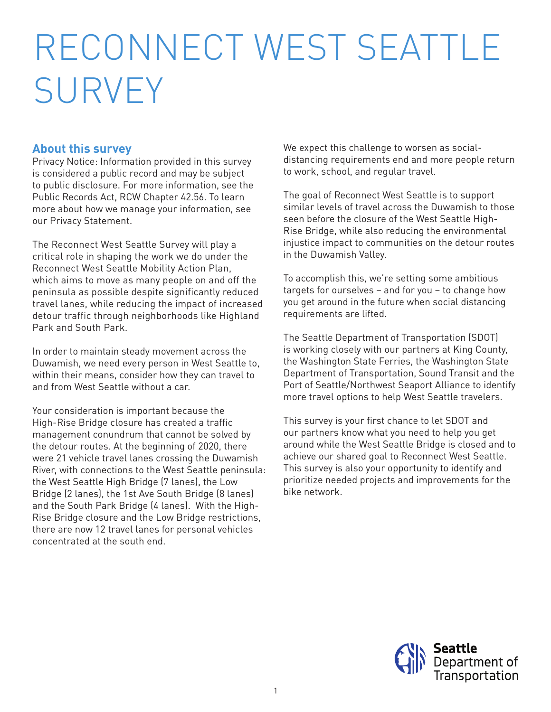# RECONNECT WEST SEATTLE SURVEY

## **About this survey**

Privacy Notice: Information provided in this survey is considered a public record and may be subject to public disclosure. For more information, see the Public Records Act, RCW Chapter 42.56. To learn more about how we manage your information, see our Privacy Statement.

The Reconnect West Seattle Survey will play a critical role in shaping the work we do under the Reconnect West Seattle Mobility Action Plan, which aims to move as many people on and off the peninsula as possible despite significantly reduced travel lanes, while reducing the impact of increased detour traffic through neighborhoods like Highland Park and South Park.

In order to maintain steady movement across the Duwamish, we need every person in West Seattle to, within their means, consider how they can travel to and from West Seattle without a car.

Your consideration is important because the High-Rise Bridge closure has created a traffic management conundrum that cannot be solved by the detour routes. At the beginning of 2020, there were 21 vehicle travel lanes crossing the Duwamish River, with connections to the West Seattle peninsula: the West Seattle High Bridge (7 lanes), the Low Bridge (2 lanes), the 1st Ave South Bridge (8 lanes) and the South Park Bridge (4 lanes). With the High-Rise Bridge closure and the Low Bridge restrictions, there are now 12 travel lanes for personal vehicles concentrated at the south end.

We expect this challenge to worsen as socialdistancing requirements end and more people return to work, school, and regular travel.

The goal of Reconnect West Seattle is to support similar levels of travel across the Duwamish to those seen before the closure of the West Seattle High-Rise Bridge, while also reducing the environmental injustice impact to communities on the detour routes in the Duwamish Valley.

To accomplish this, we're setting some ambitious targets for ourselves – and for you – to change how you get around in the future when social distancing requirements are lifted.

The Seattle Department of Transportation (SDOT) is working closely with our partners at King County, the Washington State Ferries, the Washington State Department of Transportation, Sound Transit and the Port of Seattle/Northwest Seaport Alliance to identify more travel options to help West Seattle travelers.

This survey is your first chance to let SDOT and our partners know what you need to help you get around while the West Seattle Bridge is closed and to achieve our shared goal to Reconnect West Seattle. This survey is also your opportunity to identify and prioritize needed projects and improvements for the bike network.

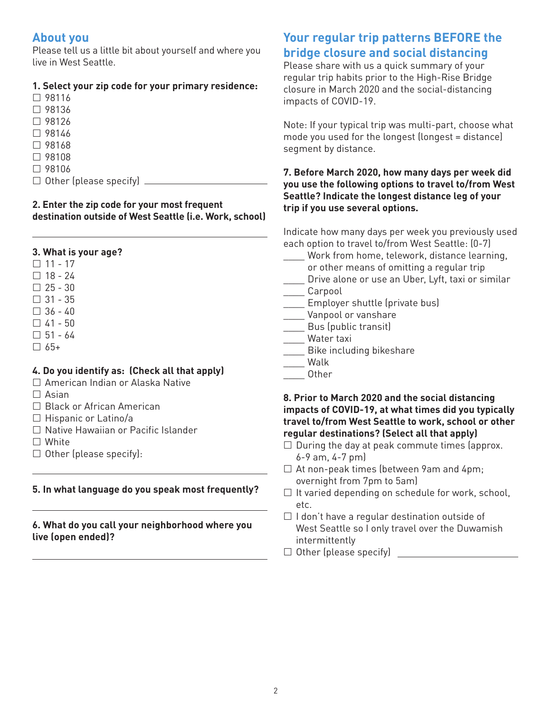## **About you**

Please tell us a little bit about yourself and where you live in West Seattle.

#### **1. Select your zip code for your primary residence:**

| $\Box$ 98116                  |  |
|-------------------------------|--|
| $\Box$ 98136                  |  |
| $\Box$ 98126                  |  |
| $\Box$ 98146                  |  |
| $\Box$ 98168                  |  |
| $\Box$ 98108                  |  |
| $\Box$ 98106                  |  |
| $\Box$ Other (please specify) |  |

#### **2. Enter the zip code for your most frequent destination outside of West Seattle (i.e. Work, school)**

#### **3. What is your age?**

- $\Box$  11 17
- $\Box$  18 24
- $\Box$  25 30
- $\Box$  31 35
- $\Box$  36 40
- $\Box$  41 50
- $\Box$  51 64
- $\Box$  65+

#### **4. Do you identify as: (Check all that apply)**

- □ American Indian or Alaska Native
- $\Box$  Asian
- □ Black or African American
- $\Box$  Hispanic or Latino/a
- □ Native Hawaiian or Pacific Islander
- □ White
- $\Box$  Other (please specify):

#### **5. In what language do you speak most frequently?**

#### **6. What do you call your neighborhood where you live (open ended)?**

# **Your regular trip patterns BEFORE the bridge closure and social distancing**

Please share with us a quick summary of your regular trip habits prior to the High-Rise Bridge closure in March 2020 and the social-distancing impacts of COVID-19.

Note: If your typical trip was multi-part, choose what mode you used for the longest (longest = distance) segment by distance.

#### **7. Before March 2020, how many days per week did you use the following options to travel to/from West Seattle? Indicate the longest distance leg of your trip if you use several options.**

Indicate how many days per week you previously used each option to travel to/from West Seattle: (0-7)

- Work from home, telework, distance learning,
- or other means of omitting a regular trip
- \_\_\_\_ Drive alone or use an Uber, Lyft, taxi or similar
- \_\_\_\_ Carpool
- \_\_\_\_ Employer shuttle (private bus)
- \_\_\_\_ Vanpool or vanshare
- \_\_\_\_ Bus (public transit)
- \_\_\_\_ Water taxi
- \_\_\_\_ Bike including bikeshare
- \_\_\_\_ Walk
- \_\_\_\_ Other

#### **8. Prior to March 2020 and the social distancing impacts of COVID-19, at what times did you typically travel to/from West Seattle to work, school or other regular destinations? (Select all that apply)**

- $\Box$  During the day at peak commute times (approx. 6-9 am, 4-7 pm)
- $\Box$  At non-peak times (between 9am and 4pm; overnight from 7pm to 5am)
- $\Box$  It varied depending on schedule for work, school, etc.
- $\Box$  I don't have a regular destination outside of West Seattle so I only travel over the Duwamish intermittently
- □ Other (please specify) <u>University</u>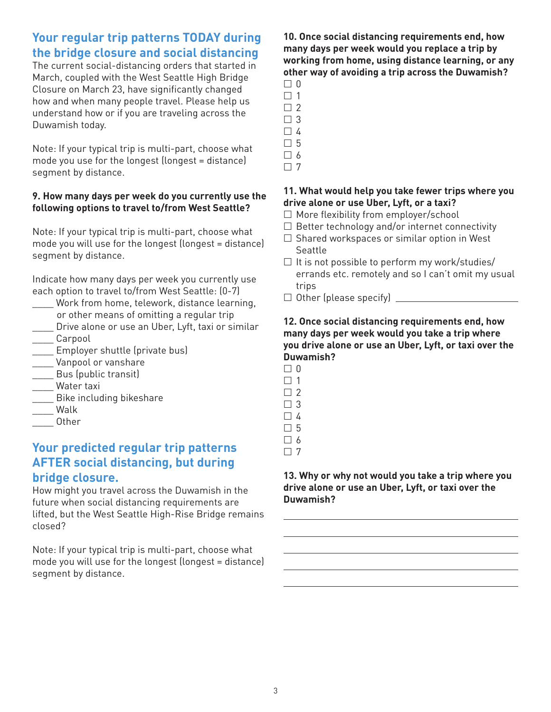## **Your regular trip patterns TODAY during the bridge closure and social distancing**

The current social-distancing orders that started in March, coupled with the West Seattle High Bridge Closure on March 23, have significantly changed how and when many people travel. Please help us understand how or if you are traveling across the Duwamish today.

Note: If your typical trip is multi-part, choose what mode you use for the longest (longest = distance) segment by distance.

#### **9. How many days per week do you currently use the following options to travel to/from West Seattle?**

Note: If your typical trip is multi-part, choose what mode you will use for the longest (longest = distance) segment by distance.

Indicate how many days per week you currently use each option to travel to/from West Seattle: (0-7)

- Work from home, telework, distance learning, or other means of omitting a regular trip
- \_\_\_\_ Drive alone or use an Uber, Lyft, taxi or similar \_\_\_\_ Carpool
- \_\_\_\_ Employer shuttle (private bus)
- \_\_\_\_ Vanpool or vanshare
- \_\_\_\_ Bus (public transit)
- \_\_\_\_ Water taxi
- \_\_\_\_ Bike including bikeshare
- \_\_\_\_ Walk
- \_\_\_\_ Other

## **Your predicted regular trip patterns AFTER social distancing, but during bridge closure.**

How might you travel across the Duwamish in the future when social distancing requirements are lifted, but the West Seattle High-Rise Bridge remains closed?

Note: If your typical trip is multi-part, choose what mode you will use for the longest (longest = distance) segment by distance.

#### **10. Once social distancing requirements end, how many days per week would you replace a trip by working from home, using distance learning, or any other way of avoiding a trip across the Duwamish?**

- $\Box$  0  $\Box$  1
- $\Box$  2
- $\Box$  3
- $\Box$  4
- 5
- $\Box$  6
- $\Box$  7

#### **11. What would help you take fewer trips where you drive alone or use Uber, Lyft, or a taxi?**

- $\Box$  More flexibility from employer/school
- $\Box$  Better technology and/or internet connectivity
- $\square$  Shared workspaces or similar option in West Seattle
- $\Box$  It is not possible to perform my work/studies/ errands etc. remotely and so I can't omit my usual trips
- Other (please specify)

#### **12. Once social distancing requirements end, how many days per week would you take a trip where you drive alone or use an Uber, Lyft, or taxi over the Duwamish?**

- $\Box$  0 □ 1  $\Box$  2  $\Box$  3
- $\Box$  4
- □ 5
- $\Box$  6
- $\Box$  7

#### **13. Why or why not would you take a trip where you drive alone or use an Uber, Lyft, or taxi over the Duwamish?**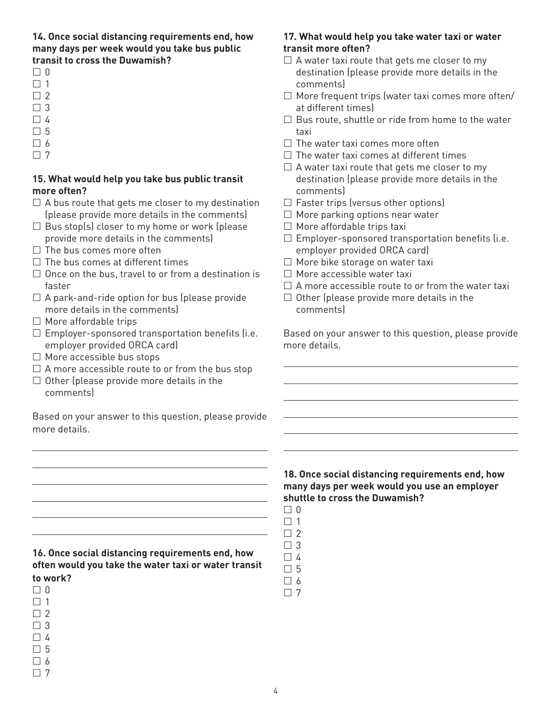**14. Once social distancing requirements end, how many days per week would you take bus public transit to cross the Duwamish?**

- $\Box$
- $\Box$  1
- $\Box$  2
- $\Box$  3
- $\Box$  4
- □ 5
- □ 6
- $\Box$  7

#### **15. What would help you take bus public transit more often?**

- $\Box$  A bus route that gets me closer to my destination (please provide more details in the comments)
- $\Box$  Bus stop(s) closer to my home or work (please provide more details in the comments)
- $\Box$  The bus comes more often
- $\Box$  The bus comes at different times
- $\Box$  Once on the bus, travel to or from a destination is faster
- $\Box$  A park-and-ride option for bus (please provide more details in the comments)
- $\Box$  More affordable trips
- $\square$  Employer-sponsored transportation benefits (i.e. employer provided ORCA card)
- $\Box$  More accessible bus stops
- $\square$  A more accessible route to or from the bus stop
- $\Box$  Other (please provide more details in the comments)

Based on your answer to this question, please provide more details.

#### **16. Once social distancing requirements end, how often would you take the water taxi or water transit to work?**

- $\Box$  0  $\Box$  1
- $\Box$  2
- $\Box$  3
- $\Box$  4 5
- $\Box$  6

 $\Box$  7

#### **17. What would help you take water taxi or water transit more often?**

- $\Box$  A water taxi route that gets me closer to my destination (please provide more details in the comments)
- $\Box$  More frequent trips (water taxi comes more often/ at different times)
- $\Box$  Bus route, shuttle or ride from home to the water taxi
- $\Box$  The water taxi comes more often
- $\Box$  The water taxi comes at different times
- $\Box$  A water taxi route that gets me closer to my destination (please provide more details in the comments)
- $\Box$  Faster trips (versus other options)
- $\Box$  More parking options near water
- $\Box$  More affordable trips taxi
- $\square$  Employer-sponsored transportation benefits (i.e. employer provided ORCA card)
- □ More bike storage on water taxi
- $\Box$  More accessible water taxi
- $\Box$  A more accessible route to or from the water taxi
- $\Box$  Other (please provide more details in the comments)

Based on your answer to this question, please provide more details.

#### **18. Once social distancing requirements end, how many days per week would you use an employer shuttle to cross the Duwamish?**

- $\Box$  0
- $\Box$  1  $\Box$  2
- $\Box$  3
- $\Box$  4
- 5
- $\Box$  6
- $\Box$  7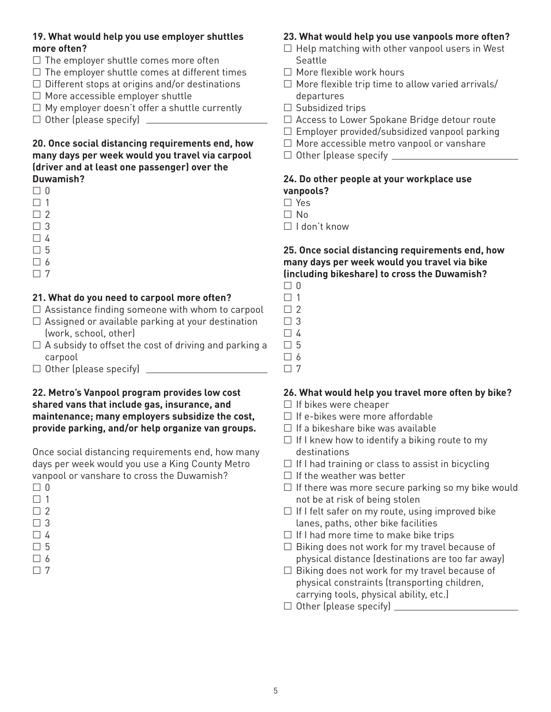#### **19. What would help you use employer shuttles more often?**

- $\Box$  The employer shuttle comes more often
- $\Box$  The employer shuttle comes at different times
- $\Box$  Different stops at origins and/or destinations
- $\Box$  More accessible employer shuttle
- $\Box$  My employer doesn't offer a shuttle currently
- $\Box$  Other (please specify)  $\Box$

#### **20. Once social distancing requirements end, how many days per week would you travel via carpool (driver and at least one passenger) over the Duwamish?**

- $\Box$  0
- $\Box$  1
- $\Box$  2
- $\Box$  3
- $\Box$  4
- □ 5
- 6
- $\Box$  7

## **21. What do you need to carpool more often?**

- $\Box$  Assistance finding someone with whom to carpool
- $\Box$  Assigned or available parking at your destination (work, school, other)
- $\Box$  A subsidy to offset the cost of driving and parking a carpool
- Other (please specify)

#### **22. Metro's Vanpool program provides low cost shared vans that include gas, insurance, and maintenance; many employers subsidize the cost, provide parking, and/or help organize van groups.**

Once social distancing requirements end, how many days per week would you use a King County Metro vanpool or vanshare to cross the Duwamish?

- 3 ⊔
- $\Box$  4 □ 5
- 6
- $\Box$  7

#### **23. What would help you use vanpools more often?**

- $\Box$  Help matching with other vanpool users in West Seattle
- $\Box$  More flexible work hours
- $\Box$  More flexible trip time to allow varied arrivals/ departures
- $\Box$  Subsidized trips
- □ Access to Lower Spokane Bridge detour route
- $\square$  Employer provided/subsidized vanpool parking
- $\Box$  More accessible metro vanpool or vanshare
- Other (please specify

#### **24. Do other people at your workplace use vanpools?**

□ Yes  $\Box$  No

- 
- $\Box$  I don't know

#### **25. Once social distancing requirements end, how many days per week would you travel via bike (including bikeshare) to cross the Duwamish?**

- $\Box$  0
- $\Box$  1
- $\Box$  2
- $\Box$  3  $\Box$  4
- □ 5
- $\Box$  6
- $\Box$  7

## **26. What would help you travel more often by bike?**

- $\Box$  If bikes were cheaper
- $\Box$  If e-bikes were more affordable
- $\Box$  If a bikeshare bike was available
- $\Box$  If I knew how to identify a biking route to my destinations
- $\Box$  If I had training or class to assist in bicycling
- $\Box$  If the weather was better
- $\Box$  If there was more secure parking so my bike would not be at risk of being stolen
- $\Box$  If I felt safer on my route, using improved bike lanes, paths, other bike facilities
- $\Box$  If I had more time to make bike trips
- $\square$  Biking does not work for my travel because of physical distance (destinations are too far away)
- $\square$  Biking does not work for my travel because of physical constraints (transporting children, carrying tools, physical ability, etc.)
- Other (please specify)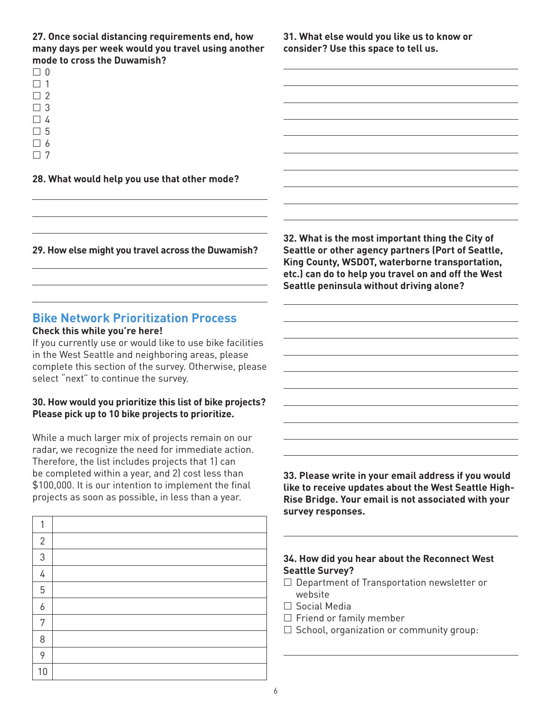**27. Once social distancing requirements end, how many days per week would you travel using another mode to cross the Duwamish?**

 $\Box$  $\Box$  1

- $\Box$  2
- $\Box$  3
- 4
- □ 5
- □ 6
- $\Box$  7

#### **28. What would help you use that other mode?**

**29. How else might you travel across the Duwamish?**

#### **Bike Network Prioritization Process Check this while you're here!**

If you currently use or would like to use bike facilities in the West Seattle and neighboring areas, please complete this section of the survey. Otherwise, please select "next" to continue the survey.

#### **30. How would you prioritize this list of bike projects? Please pick up to 10 bike projects to prioritize.**

While a much larger mix of projects remain on our radar, we recognize the need for immediate action. Therefore, the list includes projects that 1) can be completed within a year, and 2) cost less than \$100,000. It is our intention to implement the final projects as soon as possible, in less than a year.

| 1            |  |
|--------------|--|
| $\mathbf{2}$ |  |
| 3            |  |
| 4            |  |
| 5            |  |
| 6            |  |
| 7            |  |
| 8            |  |
| 9            |  |
| 10           |  |

**31. What else would you like us to know or consider? Use this space to tell us.**

**32. What is the most important thing the City of Seattle or other agency partners (Port of Seattle, King County, WSDOT, waterborne transportation, etc.) can do to help you travel on and off the West Seattle peninsula without driving alone?**

**33. Please write in your email address if you would like to receive updates about the West Seattle High-Rise Bridge. Your email is not associated with your survey responses.**

#### **34. How did you hear about the Reconnect West Seattle Survey?**

- $\Box$  Department of Transportation newsletter or website
- Social Media
- $\Box$  Friend or family member
- $\square$  School, organization or community group: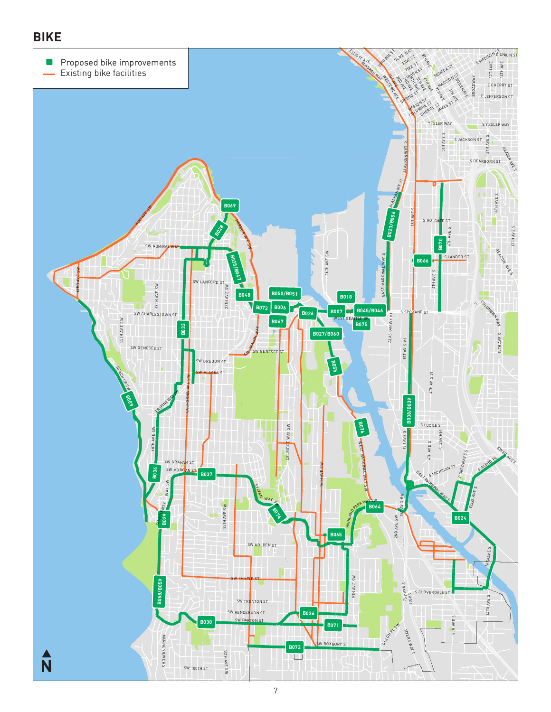# **BIKE**

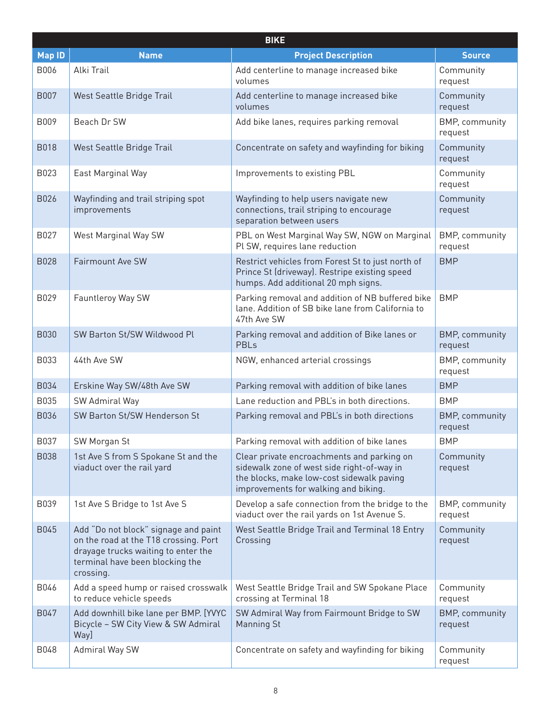| <b>BIKE</b>   |                                                                                                                                                                      |                                                                                                                                                                               |                                  |
|---------------|----------------------------------------------------------------------------------------------------------------------------------------------------------------------|-------------------------------------------------------------------------------------------------------------------------------------------------------------------------------|----------------------------------|
| <b>Map ID</b> | <b>Name</b>                                                                                                                                                          | <b>Project Description</b>                                                                                                                                                    | <b>Source</b>                    |
| B006          | Alki Trail                                                                                                                                                           | Add centerline to manage increased bike<br>volumes                                                                                                                            | Community<br>request             |
| <b>B007</b>   | West Seattle Bridge Trail                                                                                                                                            | Add centerline to manage increased bike<br>volumes                                                                                                                            | Community<br>request             |
| B009          | Beach Dr SW                                                                                                                                                          | Add bike lanes, requires parking removal                                                                                                                                      | BMP, community<br>request        |
| <b>B018</b>   | West Seattle Bridge Trail                                                                                                                                            | Concentrate on safety and wayfinding for biking                                                                                                                               | Community<br>request             |
| B023          | East Marginal Way                                                                                                                                                    | Improvements to existing PBL                                                                                                                                                  | Community<br>request             |
| B026          | Wayfinding and trail striping spot<br>improvements                                                                                                                   | Wayfinding to help users navigate new<br>connections, trail striping to encourage<br>separation between users                                                                 | Community<br>request             |
| B027          | West Marginal Way SW                                                                                                                                                 | PBL on West Marginal Way SW, NGW on Marginal<br>Pl SW, requires lane reduction                                                                                                | BMP, community<br>request        |
| <b>B028</b>   | <b>Fairmount Ave SW</b>                                                                                                                                              | Restrict vehicles from Forest St to just north of<br>Prince St (driveway). Restripe existing speed<br>humps. Add additional 20 mph signs.                                     | <b>BMP</b>                       |
| B029          | Fauntleroy Way SW                                                                                                                                                    | Parking removal and addition of NB buffered bike<br>lane. Addition of SB bike lane from California to<br>47th Ave SW                                                          | <b>BMP</b>                       |
| <b>B030</b>   | SW Barton St/SW Wildwood Pl                                                                                                                                          | Parking removal and addition of Bike lanes or<br><b>PBLs</b>                                                                                                                  | <b>BMP, community</b><br>request |
| B033          | 44th Ave SW                                                                                                                                                          | NGW, enhanced arterial crossings                                                                                                                                              | BMP, community<br>request        |
| B034          | Erskine Way SW/48th Ave SW                                                                                                                                           | Parking removal with addition of bike lanes                                                                                                                                   | <b>BMP</b>                       |
| B035          | SW Admiral Way                                                                                                                                                       | Lane reduction and PBL's in both directions.                                                                                                                                  | <b>BMP</b>                       |
| B036          | SW Barton St/SW Henderson St                                                                                                                                         | Parking removal and PBL's in both directions                                                                                                                                  | <b>BMP, community</b><br>request |
| B037          | SW Morgan St                                                                                                                                                         | Parking removal with addition of bike lanes                                                                                                                                   | <b>BMP</b>                       |
| <b>B038</b>   | 1st Ave S from S Spokane St and the<br>viaduct over the rail yard                                                                                                    | Clear private encroachments and parking on<br>sidewalk zone of west side right-of-way in<br>the blocks, make low-cost sidewalk paving<br>improvements for walking and biking. | Community<br>request             |
| B039          | 1st Ave S Bridge to 1st Ave S                                                                                                                                        | Develop a safe connection from the bridge to the<br>viaduct over the rail yards on 1st Avenue S.                                                                              | BMP, community<br>request        |
| B045          | Add "Do not block" signage and paint<br>on the road at the T18 crossing. Port<br>drayage trucks waiting to enter the<br>terminal have been blocking the<br>crossing. | West Seattle Bridge Trail and Terminal 18 Entry<br>Crossing                                                                                                                   | Community<br>request             |
| B046          | Add a speed hump or raised crosswalk<br>to reduce vehicle speeds                                                                                                     | West Seattle Bridge Trail and SW Spokane Place<br>crossing at Terminal 18                                                                                                     | Community<br>request             |
| B047          | Add downhill bike lane per BMP. [YVYC<br>Bicycle - SW City View & SW Admiral<br>Way]                                                                                 | SW Admiral Way from Fairmount Bridge to SW<br><b>Manning St</b>                                                                                                               | <b>BMP, community</b><br>request |
| B048          | Admiral Way SW                                                                                                                                                       | Concentrate on safety and wayfinding for biking                                                                                                                               | Community<br>request             |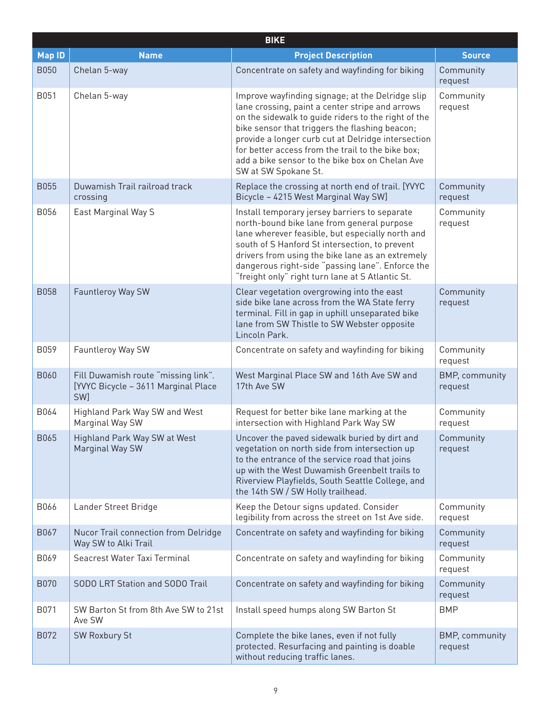|               | <b>BIKE</b>                                                                       |                                                                                                                                                                                                                                                                                                                                                                                                    |                                  |  |
|---------------|-----------------------------------------------------------------------------------|----------------------------------------------------------------------------------------------------------------------------------------------------------------------------------------------------------------------------------------------------------------------------------------------------------------------------------------------------------------------------------------------------|----------------------------------|--|
| <b>Map ID</b> | <b>Name</b>                                                                       | <b>Project Description</b>                                                                                                                                                                                                                                                                                                                                                                         | <b>Source</b>                    |  |
| <b>B050</b>   | Chelan 5-way                                                                      | Concentrate on safety and wayfinding for biking                                                                                                                                                                                                                                                                                                                                                    | Community<br>request             |  |
| B051          | Chelan 5-way                                                                      | Improve wayfinding signage; at the Delridge slip<br>lane crossing, paint a center stripe and arrows<br>on the sidewalk to guide riders to the right of the<br>bike sensor that triggers the flashing beacon;<br>provide a longer curb cut at Delridge intersection<br>for better access from the trail to the bike box;<br>add a bike sensor to the bike box on Chelan Ave<br>SW at SW Spokane St. | Community<br>request             |  |
| <b>B055</b>   | Duwamish Trail railroad track<br>crossing                                         | Replace the crossing at north end of trail. [YVYC<br>Bicycle - 4215 West Marginal Way SW]                                                                                                                                                                                                                                                                                                          | Community<br>request             |  |
| B056          | East Marginal Way S                                                               | Install temporary jersey barriers to separate<br>north-bound bike lane from general purpose<br>lane wherever feasible, but especially north and<br>south of S Hanford St intersection, to prevent<br>drivers from using the bike lane as an extremely<br>dangerous right-side "passing lane". Enforce the<br>"freight only" right turn lane at S Atlantic St.                                      | Community<br>request             |  |
| <b>B058</b>   | Fauntleroy Way SW                                                                 | Clear vegetation overgrowing into the east<br>side bike lane across from the WA State ferry<br>terminal. Fill in gap in uphill unseparated bike<br>lane from SW Thistle to SW Webster opposite<br>Lincoln Park.                                                                                                                                                                                    | Community<br>request             |  |
| B059          | Fauntleroy Way SW                                                                 | Concentrate on safety and wayfinding for biking                                                                                                                                                                                                                                                                                                                                                    | Community<br>request             |  |
| <b>B060</b>   | Fill Duwamish route "missing link".<br>[YVYC Bicycle - 3611 Marginal Place<br>SW] | West Marginal Place SW and 16th Ave SW and<br>17th Ave SW                                                                                                                                                                                                                                                                                                                                          | <b>BMP, community</b><br>request |  |
| B064          | Highland Park Way SW and West<br>Marginal Way SW                                  | Request for better bike lane marking at the<br>intersection with Highland Park Way SW                                                                                                                                                                                                                                                                                                              | Community<br>request             |  |
| B065          | Highland Park Way SW at West<br>Marginal Way SW                                   | Uncover the paved sidewalk buried by dirt and<br>vegetation on north side from intersection up<br>to the entrance of the service road that joins<br>up with the West Duwamish Greenbelt trails to<br>Riverview Playfields, South Seattle College, and<br>the 14th SW / SW Holly trailhead.                                                                                                         | Community<br>request             |  |
| B066          | Lander Street Bridge                                                              | Keep the Detour signs updated. Consider<br>legibility from across the street on 1st Ave side.                                                                                                                                                                                                                                                                                                      | Community<br>request             |  |
| B067          | Nucor Trail connection from Delridge<br>Way SW to Alki Trail                      | Concentrate on safety and wayfinding for biking                                                                                                                                                                                                                                                                                                                                                    | Community<br>request             |  |
| B069          | Seacrest Water Taxi Terminal                                                      | Concentrate on safety and wayfinding for biking                                                                                                                                                                                                                                                                                                                                                    | Community<br>request             |  |
| <b>B070</b>   | SODO LRT Station and SODO Trail                                                   | Concentrate on safety and wayfinding for biking                                                                                                                                                                                                                                                                                                                                                    | Community<br>request             |  |
| B071          | SW Barton St from 8th Ave SW to 21st<br>Ave SW                                    | Install speed humps along SW Barton St                                                                                                                                                                                                                                                                                                                                                             | <b>BMP</b>                       |  |
| B072          | <b>SW Roxbury St</b>                                                              | Complete the bike lanes, even if not fully<br>protected. Resurfacing and painting is doable<br>without reducing traffic lanes.                                                                                                                                                                                                                                                                     | BMP, community<br>request        |  |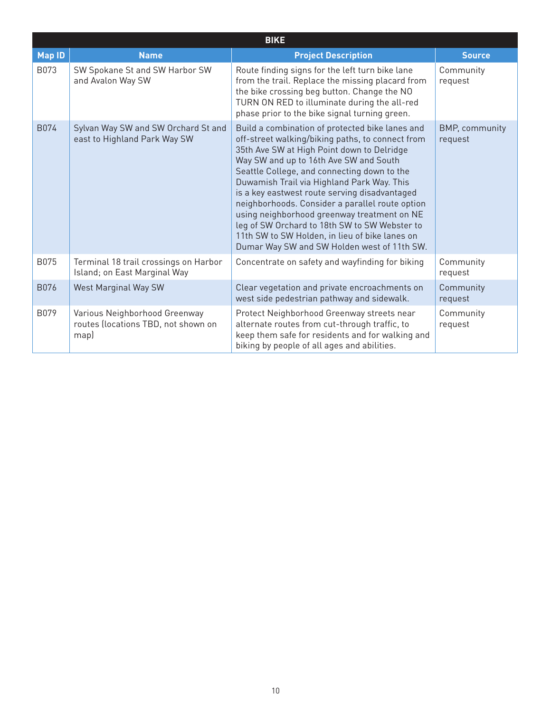| <b>BIKE</b>   |                                                                              |                                                                                                                                                                                                                                                                                                                                                                                                                                                                                                                                                                                               |                                  |
|---------------|------------------------------------------------------------------------------|-----------------------------------------------------------------------------------------------------------------------------------------------------------------------------------------------------------------------------------------------------------------------------------------------------------------------------------------------------------------------------------------------------------------------------------------------------------------------------------------------------------------------------------------------------------------------------------------------|----------------------------------|
| <b>Map ID</b> | <b>Name</b>                                                                  | <b>Project Description</b>                                                                                                                                                                                                                                                                                                                                                                                                                                                                                                                                                                    | <b>Source</b>                    |
| B073          | SW Spokane St and SW Harbor SW<br>and Avalon Way SW                          | Route finding signs for the left turn bike lane<br>from the trail. Replace the missing placard from<br>the bike crossing beg button. Change the NO<br>TURN ON RED to illuminate during the all-red<br>phase prior to the bike signal turning green.                                                                                                                                                                                                                                                                                                                                           | Community<br>request             |
| B074          | Sylvan Way SW and SW Orchard St and<br>east to Highland Park Way SW          | Build a combination of protected bike lanes and<br>off-street walking/biking paths, to connect from<br>35th Ave SW at High Point down to Delridge<br>Way SW and up to 16th Ave SW and South<br>Seattle College, and connecting down to the<br>Duwamish Trail via Highland Park Way. This<br>is a key eastwest route serving disadvantaged<br>neighborhoods. Consider a parallel route option<br>using neighborhood greenway treatment on NE<br>leg of SW Orchard to 18th SW to SW Webster to<br>11th SW to SW Holden, in lieu of bike lanes on<br>Dumar Way SW and SW Holden west of 11th SW. | <b>BMP, community</b><br>request |
| B075          | Terminal 18 trail crossings on Harbor<br>Island; on East Marginal Way        | Concentrate on safety and wayfinding for biking                                                                                                                                                                                                                                                                                                                                                                                                                                                                                                                                               | Community<br>request             |
| <b>B076</b>   | West Marginal Way SW                                                         | Clear vegetation and private encroachments on<br>west side pedestrian pathway and sidewalk.                                                                                                                                                                                                                                                                                                                                                                                                                                                                                                   | Community<br>request             |
| B079          | Various Neighborhood Greenway<br>routes (locations TBD, not shown on<br>map) | Protect Neighborhood Greenway streets near<br>alternate routes from cut-through traffic, to<br>keep them safe for residents and for walking and<br>biking by people of all ages and abilities.                                                                                                                                                                                                                                                                                                                                                                                                | Community<br>request             |